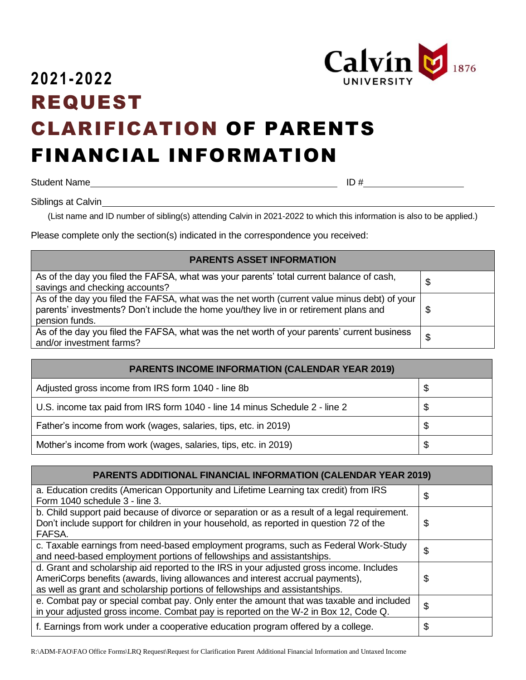

## **2021-2022** REQUEST CLARIFICATION OF PARENTS FINANCIAL INFORMATION

Student Name ID #

Siblings at Calvin

(List name and ID number of sibling(s) attending Calvin in 2021-2022 to which this information is also to be applied.)

Please complete only the section(s) indicated in the correspondence you received:

## **PARENTS ASSET INFORMATION**

| As of the day you filed the FAFSA, what was your parents' total current balance of cash,<br>savings and checking accounts?                                                                              | \$ |
|---------------------------------------------------------------------------------------------------------------------------------------------------------------------------------------------------------|----|
| As of the day you filed the FAFSA, what was the net worth (current value minus debt) of your<br>parents' investments? Don't include the home you/they live in or retirement plans and<br>pension funds. | S  |
| As of the day you filed the FAFSA, what was the net worth of your parents' current business<br>and/or investment farms?                                                                                 | \$ |

| <b>PARENTS INCOME INFORMATION (CALENDAR YEAR 2019)</b>                      |     |
|-----------------------------------------------------------------------------|-----|
| Adjusted gross income from IRS form 1040 - line 8b                          | -\$ |
| U.S. income tax paid from IRS form 1040 - line 14 minus Schedule 2 - line 2 | \$  |
| Father's income from work (wages, salaries, tips, etc. in 2019)             | \$  |
| Mother's income from work (wages, salaries, tips, etc. in 2019)             | \$  |

| <b>PARENTS ADDITIONAL FINANCIAL INFORMATION (CALENDAR YEAR 2019)</b>                                                                                                                                                                                       |    |
|------------------------------------------------------------------------------------------------------------------------------------------------------------------------------------------------------------------------------------------------------------|----|
| a. Education credits (American Opportunity and Lifetime Learning tax credit) from IRS<br>Form 1040 schedule 3 - line 3.                                                                                                                                    | \$ |
| b. Child support paid because of divorce or separation or as a result of a legal requirement.<br>Don't include support for children in your household, as reported in question 72 of the<br>FAFSA.                                                         | \$ |
| c. Taxable earnings from need-based employment programs, such as Federal Work-Study<br>and need-based employment portions of fellowships and assistantships.                                                                                               | \$ |
| d. Grant and scholarship aid reported to the IRS in your adjusted gross income. Includes<br>AmeriCorps benefits (awards, living allowances and interest accrual payments),<br>as well as grant and scholarship portions of fellowships and assistantships. | \$ |
| e. Combat pay or special combat pay. Only enter the amount that was taxable and included<br>in your adjusted gross income. Combat pay is reported on the W-2 in Box 12, Code Q.                                                                            | \$ |
| f. Earnings from work under a cooperative education program offered by a college.                                                                                                                                                                          | \$ |

R:\ADM-FAO\FAO Office Forms\LRQ Request\Request for Clarification Parent Additional Financial Information and Untaxed Income